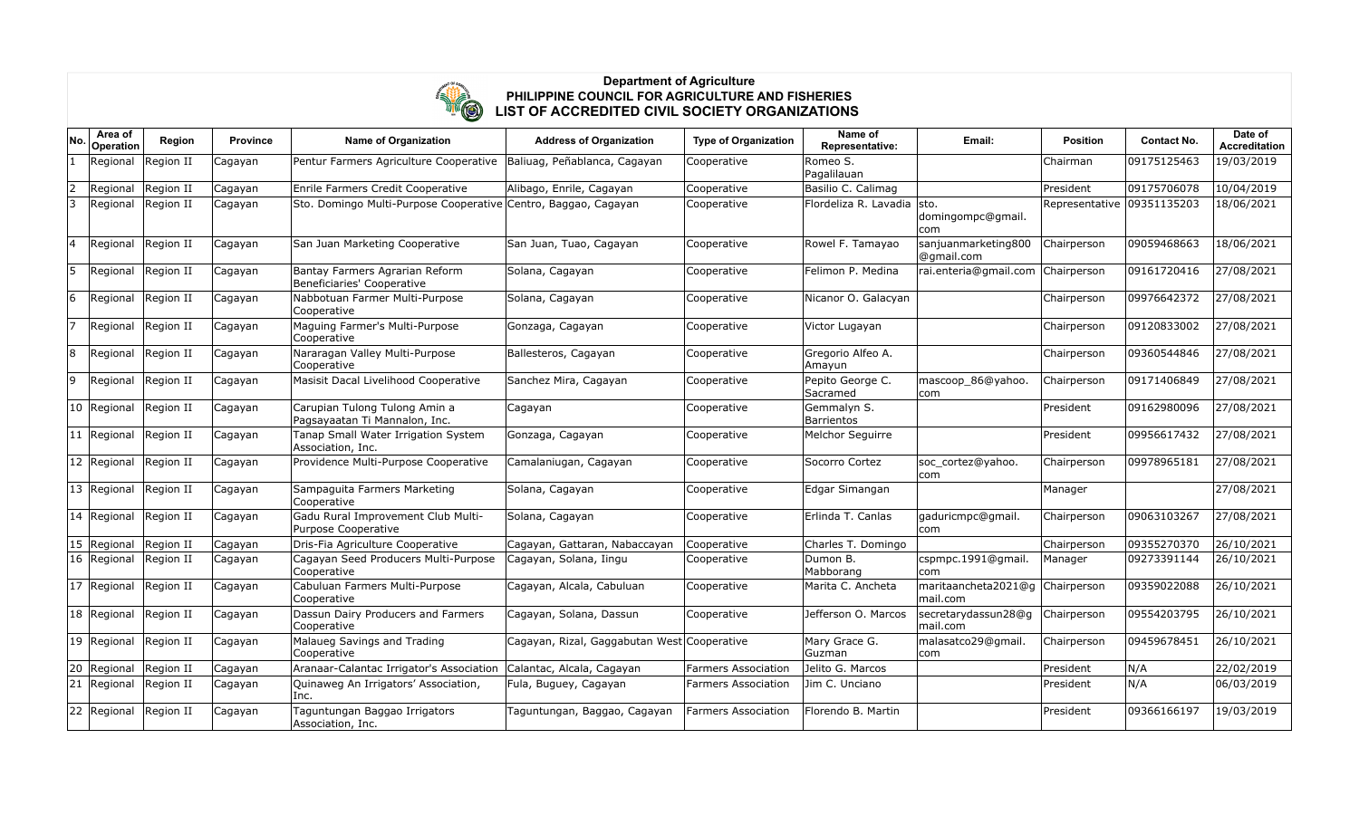

| No.            | Area of<br>Operation | Region    | <b>Province</b> | <b>Name of Organization</b>                                           | <b>Address of Organization</b>              | <b>Type of Organization</b> | Name of<br>Representative:       | Email:                            | <b>Position</b> | <b>Contact No.</b> | Date of<br>Accreditation |
|----------------|----------------------|-----------|-----------------|-----------------------------------------------------------------------|---------------------------------------------|-----------------------------|----------------------------------|-----------------------------------|-----------------|--------------------|--------------------------|
|                | Regional             | Region II | Cagayan         | Pentur Farmers Agriculture Cooperative   Baliuag, Peñablanca, Cagayan |                                             | Cooperative                 | Romeo S.<br>Pagalilauan          |                                   | Chairman        | 09175125463        | 19/03/2019               |
| $\overline{2}$ | Regional             | Region II | Cagayan         | Enrile Farmers Credit Cooperative                                     | Alibago, Enrile, Cagayan                    | Cooperative                 | Basilio C. Calimag               |                                   | President       | 09175706078        | 10/04/2019               |
| 3              | Regional             | Region II | Cagayan         | Sto. Domingo Multi-Purpose Cooperative Centro, Baggao, Cagayan        |                                             | Cooperative                 | Flordeliza R. Lavadia  sto.      | domingompc@gmail.<br>com          | Representative  | 09351135203        | 18/06/2021               |
| 14             | Regional             | Region II | Cagayan         | San Juan Marketing Cooperative                                        | San Juan, Tuao, Cagayan                     | Cooperative                 | Rowel F. Tamayao                 | sanjuanmarketing800<br>@qmail.com | Chairperson     | 09059468663        | 18/06/2021               |
| 5              | Regional             | Region II | Cagayan         | Bantay Farmers Agrarian Reform<br>Beneficiaries' Cooperative          | Solana, Cagayan                             | Cooperative                 | Felimon P. Medina                | rai.enteria@gmail.com             | Chairperson     | 09161720416        | 27/08/2021               |
| 6              | Regional             | Region II | Cagayan         | Nabbotuan Farmer Multi-Purpose<br>Cooperative                         | Solana, Cagayan                             | Cooperative                 | Nicanor O. Galacyan              |                                   | Chairperson     | 09976642372        | 27/08/2021               |
|                | Regional             | Region II | Cagayan         | Maguing Farmer's Multi-Purpose<br>Cooperative                         | Gonzaga, Cagayan                            | Cooperative                 | Victor Lugayan                   |                                   | Chairperson     | 09120833002        | 27/08/2021               |
| 8              | Regional             | Region II | Cagayan         | Nararagan Valley Multi-Purpose<br>Cooperative                         | Ballesteros, Cagayan                        | Cooperative                 | Gregorio Alfeo A.<br>Amayun      |                                   | Chairperson     | 09360544846        | 27/08/2021               |
| 9              | Regional             | Region II | Cagayan         | Masisit Dacal Livelihood Cooperative                                  | Sanchez Mira, Cagayan                       | Cooperative                 | Pepito George C.<br>Sacramed     | mascoop 86@yahoo.<br> com         | Chairperson     | 09171406849        | 27/08/2021               |
|                | 10 Regional          | Region II | Cagayan         | Carupian Tulong Tulong Amin a<br>Pagsayaatan Ti Mannalon, Inc.        | Cagayan                                     | Cooperative                 | Gemmalyn S.<br><b>Barrientos</b> |                                   | President       | 09162980096        | 27/08/2021               |
|                | 11 Regional          | Region II | Cagayan         | Tanap Small Water Irrigation System<br>Association, Inc.              | Gonzaga, Cagayan                            | Cooperative                 | Melchor Seguirre                 |                                   | President       | 09956617432        | 27/08/2021               |
|                | 12 Regional          | Region II | Cagayan         | Providence Multi-Purpose Cooperative                                  | Camalaniugan, Cagayan                       | Cooperative                 | Socorro Cortez                   | soc cortez@yahoo.<br> com         | Chairperson     | 09978965181        | 27/08/2021               |
|                | 13 Regional          | Region II | Cagayan         | Sampaguita Farmers Marketing<br>Cooperative                           | Solana, Cagayan                             | Cooperative                 | Edgar Simangan                   |                                   | Manager         |                    | 27/08/2021               |
|                | 14 Regional          | Region II | Cagayan         | Gadu Rural Improvement Club Multi-<br>Purpose Cooperative             | Solana, Cagayan                             | Cooperative                 | Erlinda T. Canlas                | qaduricmpc@qmail.<br>com          | Chairperson     | 09063103267        | 27/08/2021               |
|                | 15 Regional          | Region II | Cagayan         | Dris-Fia Agriculture Cooperative                                      | Cagayan, Gattaran, Nabaccayan               | Cooperative                 | Charles T. Domingo               |                                   | Chairperson     | 09355270370        | 26/10/2021               |
|                | 16 Regional          | Region II | Cagayan         | Cagayan Seed Producers Multi-Purpose<br>Cooperative                   | Cagayan, Solana, Iingu                      | Cooperative                 | Dumon B.<br>Mabborang            | cspmpc.1991@gmail.<br>com         | Manager         | 09273391144        | 26/10/2021               |
|                | 17 Regional          | Region II | Cagayan         | Cabuluan Farmers Multi-Purpose<br>Cooperative                         | Cagayan, Alcala, Cabuluan                   | Cooperative                 | Marita C. Ancheta                | maritaancheta 2021@q<br>mail.com  | Chairperson     | 09359022088        | 26/10/2021               |
|                | 18 Regional          | Region II | Cagayan         | Dassun Dairy Producers and Farmers<br>Cooperative                     | Cagayan, Solana, Dassun                     | Cooperative                 | Jefferson O. Marcos              | secretarydassun28@q<br>mail.com   | Chairperson     | 09554203795        | 26/10/2021               |
|                | 19 Regional          | Region II | Cagayan         | Malaueg Savings and Trading<br>Cooperative                            | Cagayan, Rizal, Gaggabutan West Cooperative |                             | Mary Grace G.<br>Guzman          | malasatco29@gmail.<br> com        | Chairperson     | 09459678451        | 26/10/2021               |
| 20             | Regional             | Region II | Cagayan         | Aranaar-Calantac Irrigator's Association                              | Calantac, Alcala, Cagayan                   | Farmers Association         | Jelito G. Marcos                 |                                   | President       | N/A                | 22/02/2019               |
|                | 21 Regional          | Region II | Cagayan         | Quinaweg An Irrigators' Association,<br>Inc.                          | Fula, Buguey, Cagayan                       | Farmers Association         | Jim C. Unciano                   |                                   | President       | N/A                | 06/03/2019               |
|                | 22 Regional          | Region II | Cagayan         | Taguntungan Baggao Irrigators<br>Association, Inc.                    | Taguntungan, Baggao, Cagayan                | <b>Farmers Association</b>  | Florendo B. Martin               |                                   | President       | 09366166197        | 19/03/2019               |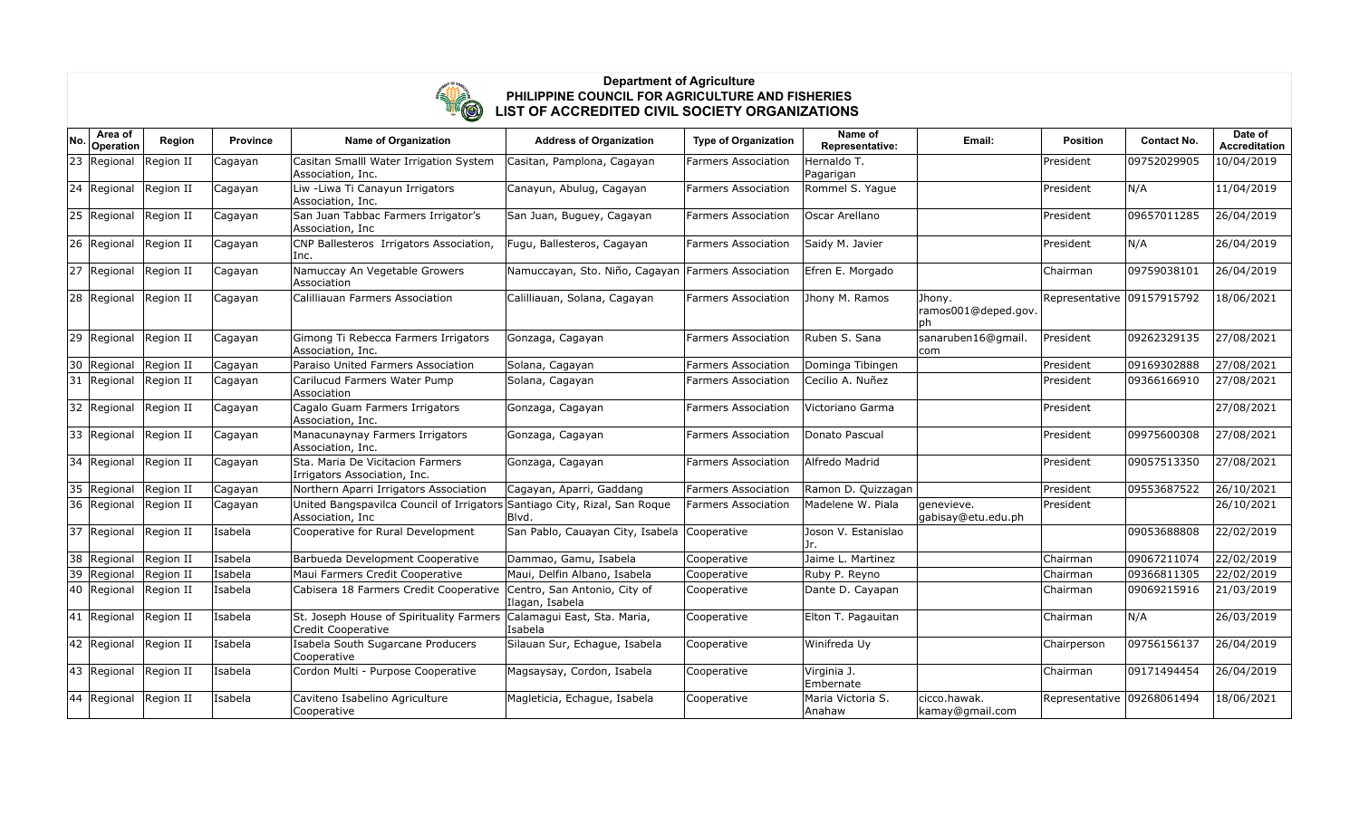

| No.          | Area of<br>Operation  | Region    | <b>Province</b> | <b>Name of Organization</b>                                                                    | <b>Address of Organization</b>                     | <b>Type of Organization</b> | Name of<br>Representative:  | Email:                               | Position                   | <b>Contact No.</b> | Date of<br><b>Accreditation</b> |
|--------------|-----------------------|-----------|-----------------|------------------------------------------------------------------------------------------------|----------------------------------------------------|-----------------------------|-----------------------------|--------------------------------------|----------------------------|--------------------|---------------------------------|
| 23           | Regional              | Region II | Cagayan         | Casitan Smalll Water Irrigation System<br>Association, Inc.                                    | Casitan, Pamplona, Cagayan                         | Farmers Association         | Hernaldo T.<br>Pagarigan    |                                      | President                  | 09752029905        | 10/04/2019                      |
| $ 24\rangle$ | Regional              | Region II | Cagayan         | Liw - Liwa Ti Canayun Irrigators<br>Association, Inc.                                          | Canayun, Abulug, Cagayan                           | <b>Farmers Association</b>  | Rommel S. Yaque             |                                      | President                  | N/A                | 11/04/2019                      |
| 25           | Regional              | Region II | Cagayan         | San Juan Tabbac Farmers Irrigator's<br>Association, Inc                                        | San Juan, Buguey, Cagayan                          | <b>Farmers Association</b>  | Oscar Arellano              |                                      | President                  | 09657011285        | 26/04/2019                      |
| 26           | Regional              | Region II | Cagayan         | CNP Ballesteros Irrigators Association,<br>Inc.                                                | Fugu, Ballesteros, Cagayan                         | <b>Farmers Association</b>  | Saidy M. Javier             |                                      | President                  | N/A                | 26/04/2019                      |
| 27           | Regional              | Region II | Cagayan         | Namuccay An Vegetable Growers<br>Association                                                   | Namuccayan, Sto. Niño, Cagayan Farmers Association |                             | Efren E. Morgado            |                                      | Chairman                   | 09759038101        | 26/04/2019                      |
|              | 28 Regional           | Region II | Cagayan         | Calilliauan Farmers Association                                                                | Calilliauan, Solana, Cagayan                       | <b>Farmers Association</b>  | Jhony M. Ramos              | Jhony.<br>ramos001@deped.gov.<br> ph | Representative 09157915792 |                    | 18/06/2021                      |
|              | 29 Regional           | Region II | Cagayan         | Gimong Ti Rebecca Farmers Irrigators<br>Association, Inc.                                      | Gonzaga, Cagayan                                   | <b>Farmers Association</b>  | Ruben S. Sana               | sanaruben16@gmail.<br> com           | President                  | 09262329135        | 27/08/2021                      |
| 30           | Regional              | Region II | Cagayan         | Paraiso United Farmers Association                                                             | Solana, Cagayan                                    | <b>Farmers Association</b>  | Dominga Tibingen            |                                      | President                  | 09169302888        | 27/08/2021                      |
| 31           | Regional              | Region II | Cagayan         | Carilucud Farmers Water Pump<br>Association                                                    | Solana, Cagayan                                    | <b>Farmers Association</b>  | Cecilio A. Nuñez            |                                      | President                  | 09366166910        | 27/08/2021                      |
| 32           | Regional              | Region II | Cagayan         | Cagalo Guam Farmers Irrigators<br>Association, Inc.                                            | Gonzaga, Cagayan                                   | <b>Farmers Association</b>  | Victoriano Garma            |                                      | President                  |                    | 27/08/2021                      |
| 33           | Regional              | Region II | Cagayan         | Manacunaynay Farmers Irrigators<br>Association, Inc.                                           | Gonzaga, Cagayan                                   | <b>Farmers Association</b>  | Donato Pascual              |                                      | President                  | 09975600308        | 27/08/2021                      |
| 34           | Regional              | Region II | Cagayan         | Sta. Maria De Vicitacion Farmers<br>Irrigators Association, Inc.                               | Gonzaga, Cagayan                                   | <b>Farmers Association</b>  | Alfredo Madrid              |                                      | President                  | 09057513350        | 27/08/2021                      |
| 35           | Regional              | Region II | Cagayan         | Northern Aparri Irrigators Association                                                         | Cagayan, Aparri, Gaddang                           | <b>Farmers Association</b>  | Ramon D. Quizzagan          |                                      | President                  | 09553687522        | 26/10/2021                      |
|              | 36 Regional           | Region II | Cagayan         | United Bangspavilca Council of Irrigators Santiago City, Rizal, San Rogue<br>Association, Inc. | Blvd.                                              | <b>Farmers Association</b>  | Madelene W. Piala           | genevieve.<br>gabisay@etu.edu.ph     | President                  |                    | 26/10/2021                      |
| 37           | Regional              | Region II | Isabela         | Cooperative for Rural Development                                                              | San Pablo, Cauayan City, Isabela                   | Cooperative                 | Joson V. Estanislao<br>Jr.  |                                      |                            | 09053688808        | 22/02/2019                      |
| 38           | Regional              | Region II | Isabela         | Barbueda Development Cooperative                                                               | Dammao, Gamu, Isabela                              | Cooperative                 | Jaime L. Martinez           |                                      | Chairman                   | 09067211074        | 22/02/2019                      |
| 39           | Regional              | Region II | Isabela         | Maui Farmers Credit Cooperative                                                                | Maui, Delfin Albano, Isabela                       | Cooperative                 | Ruby P. Reyno               |                                      | Chairman                   | 09366811305        | 22/02/2019                      |
| 40           | Regional              | Region II | Isabela         | Cabisera 18 Farmers Credit Cooperative                                                         | Centro, San Antonio, City of<br>Ilagan, Isabela    | Cooperative                 | Dante D. Cayapan            |                                      | Chairman                   | 09069215916        | 21/03/2019                      |
| $ 41\rangle$ | Regional              | Region II | Isabela         | St. Joseph House of Spirituality Farmers<br>Credit Cooperative                                 | Calamagui East, Sta. Maria,<br>lIsabela            | Cooperative                 | Elton T. Pagauitan          |                                      | Chairman                   | N/A                | 26/03/2019                      |
|              | 42 Regional Region II |           | Isabela         | Isabela South Sugarcane Producers<br>Cooperative                                               | Silauan Sur, Echague, Isabela                      | Cooperative                 | Winifreda Uy                |                                      | Chairperson                | 09756156137        | 26/04/2019                      |
| 43           | Regional              | Region II | Isabela         | Cordon Multi - Purpose Cooperative                                                             | Magsaysay, Cordon, Isabela                         | Cooperative                 | Virginia J.<br>Embernate    |                                      | Chairman                   | 09171494454        | 26/04/2019                      |
| 44           | Regional              | Region II | Isabela         | Caviteno Isabelino Agriculture<br>Cooperative                                                  | Magleticia, Echague, Isabela                       | Cooperative                 | Maria Victoria S.<br>Anahaw | lcicco.hawak.<br>kamay@gmail.com     | Representative             | 09268061494        | 18/06/2021                      |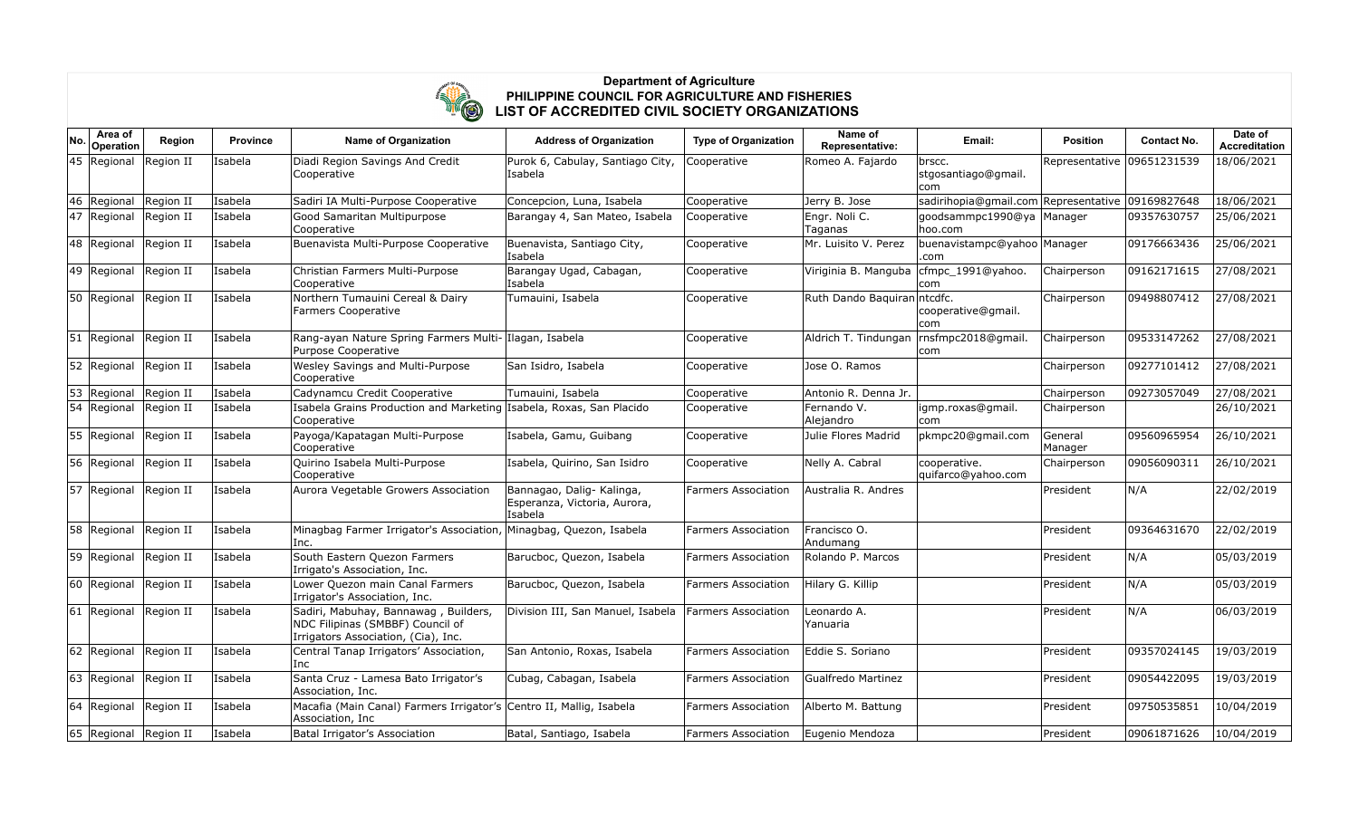

| No. | Area of<br>Operation      | Region    | <b>Province</b> | <b>Name of Organization</b>                                                                                     | <b>Address of Organization</b>                                       | <b>Type of Organization</b> | Name of<br>Representative:                | Email:                                           | <b>Position</b>    | <b>Contact No.</b> | Date of<br><b>Accreditation</b> |
|-----|---------------------------|-----------|-----------------|-----------------------------------------------------------------------------------------------------------------|----------------------------------------------------------------------|-----------------------------|-------------------------------------------|--------------------------------------------------|--------------------|--------------------|---------------------------------|
|     | 45 Regional Region II     |           | Isabela         | Diadi Region Savings And Credit<br>Cooperative                                                                  | Purok 6, Cabulay, Santiago City,<br>Isabela                          | Cooperative                 | Romeo A. Fajardo                          | brscc.<br>stgosantiago@gmail.<br> com            | Representative     | 09651231539        | 18/06/2021                      |
| 46  | Regional                  | Region II | Isabela         | Sadiri IA Multi-Purpose Cooperative                                                                             | Concepcion, Luna, Isabela                                            | Cooperative                 | Jerry B. Jose                             | sadirihopia@gmail.com Representative 09169827648 |                    |                    | 18/06/2021                      |
|     | 47 Regional               | Region II | Isabela         | Good Samaritan Multipurpose<br>Cooperative                                                                      | Barangay 4, San Mateo, Isabela                                       | Cooperative                 | Engr. Noli C.<br>Taganas                  | goodsammpc1990@ya Manager<br>hoo.com             |                    | 09357630757        | 25/06/2021                      |
|     | 48 Regional               | Region II | Isabela         | Buenavista Multi-Purpose Cooperative                                                                            | Buenavista, Santiago City,<br>Isabela                                | Cooperative                 | Mr. Luisito V. Perez                      | buenavistampc@yahoo Manager<br>.com              |                    | 09176663436        | 25/06/2021                      |
|     | 49 Regional               | Region II | Isabela         | Christian Farmers Multi-Purpose<br>Cooperative                                                                  | Barangay Ugad, Cabagan,<br>Isabela                                   | Cooperative                 | Viriginia B. Manguba                      | cfmpc_1991@yahoo.<br>com                         | Chairperson        | 09162171615        | 27/08/2021                      |
|     | 50 Regional               | Region II | Isabela         | Northern Tumauini Cereal & Dairy<br><b>Farmers Cooperative</b>                                                  | Tumauini, Isabela                                                    | Cooperative                 | Ruth Dando Baquiran ntcdfc.               | cooperative@gmail.<br>com                        | Chairperson        | 09498807412        | 27/08/2021                      |
|     | 51   Regional   Region II |           | Isabela         | Rang-ayan Nature Spring Farmers Multi- Ilagan, Isabela<br>Purpose Cooperative                                   |                                                                      | Cooperative                 | Aldrich T. Tindungan   rnsfmpc2018@gmail. | com                                              | Chairperson        | 09533147262        | 27/08/2021                      |
| 52  | Regional Region II        |           | Isabela         | Wesley Savings and Multi-Purpose<br>Cooperative                                                                 | San Isidro, Isabela                                                  | Cooperative                 | Jose O. Ramos                             |                                                  | Chairperson        | 09277101412        | 27/08/2021                      |
| 53  | Regional                  | Region II | Isabela         | Cadynamcu Credit Cooperative                                                                                    | Tumauini, Isabela                                                    | Cooperative                 | Antonio R. Denna Jr.                      |                                                  | Chairperson        | 09273057049        | 27/08/2021                      |
| 54  | Regional                  | Region II | Isabela         | Isabela Grains Production and Marketing Isabela, Roxas, San Placido<br>Cooperative                              |                                                                      | Cooperative                 | Fernando V.<br>Alejandro                  | igmp.roxas@gmail.<br>com                         | Chairperson        |                    | 26/10/2021                      |
|     | 55 Regional               | Region II | Isabela         | Payoga/Kapatagan Multi-Purpose<br>Cooperative                                                                   | Isabela, Gamu, Guibang                                               | Cooperative                 | Julie Flores Madrid                       | pkmpc20@gmail.com                                | General<br>Manager | 09560965954        | 26/10/2021                      |
|     | 56 Regional               | Region II | Isabela         | Quirino Isabela Multi-Purpose<br>Cooperative                                                                    | Isabela, Quirino, San Isidro                                         | Cooperative                 | Nelly A. Cabral                           | cooperative.<br>quifarco@yahoo.com               | Chairperson        | 09056090311        | 26/10/2021                      |
| 57  | Regional Region II        |           | Isabela         | Aurora Vegetable Growers Association                                                                            | Bannagao, Dalig- Kalinga,<br>Esperanza, Victoria, Aurora,<br>Isabela | <b>Farmers Association</b>  | Australia R. Andres                       |                                                  | President          | N/A                | 22/02/2019                      |
|     | 58 Regional               | Region II | Isabela         | Minagbag Farmer Irrigator's Association, Minagbag, Quezon, Isabela<br>Inc.                                      |                                                                      | <b>Farmers Association</b>  | Francisco O.<br>Andumang                  |                                                  | President          | 09364631670        | 22/02/2019                      |
|     | 59 Regional               | Region II | Isabela         | South Eastern Quezon Farmers<br>Irrigato's Association, Inc.                                                    | Barucboc, Quezon, Isabela                                            | <b>Farmers Association</b>  | Rolando P. Marcos                         |                                                  | President          | N/A                | 05/03/2019                      |
|     | 60 Regional               | Region II | Isabela         | Lower Quezon main Canal Farmers<br>Irrigator's Association, Inc.                                                | Barucboc, Quezon, Isabela                                            | <b>Farmers Association</b>  | Hilary G. Killip                          |                                                  | President          | N/A                | 05/03/2019                      |
|     | 61 Regional Region II     |           | Isabela         | Sadiri, Mabuhay, Bannawag, Builders,<br>NDC Filipinas (SMBBF) Council of<br>Irrigators Association, (Cia), Inc. | Division III, San Manuel, Isabela                                    | <b>Farmers Association</b>  | Leonardo A.<br>Yanuaria                   |                                                  | President          | N/A                | 06/03/2019                      |
|     | 62 Regional               | Region II | Isabela         | Central Tanap Irrigators' Association,<br>Inc                                                                   | San Antonio, Roxas, Isabela                                          | <b>Farmers Association</b>  | Eddie S. Soriano                          |                                                  | President          | 09357024145        | 19/03/2019                      |
|     | 63 Regional Region II     |           | Isabela         | Santa Cruz - Lamesa Bato Irrigator's<br>Association, Inc.                                                       | Cubag, Cabagan, Isabela                                              | <b>Farmers Association</b>  | <b>Gualfredo Martinez</b>                 |                                                  | President          | 09054422095        | 19/03/2019                      |
|     | 64 Regional               | Region II | Isabela         | Macafia (Main Canal) Farmers Irrigator's Centro II, Mallig, Isabela<br>Association, Inc                         |                                                                      | <b>Farmers Association</b>  | Alberto M. Battung                        |                                                  | President          | 09750535851        | 10/04/2019                      |
|     | 65 Regional Region II     |           | Isabela         | Batal Irrigator's Association                                                                                   | Batal, Santiago, Isabela                                             | <b>Farmers Association</b>  | Eugenio Mendoza                           |                                                  | President          | 09061871626        | 10/04/2019                      |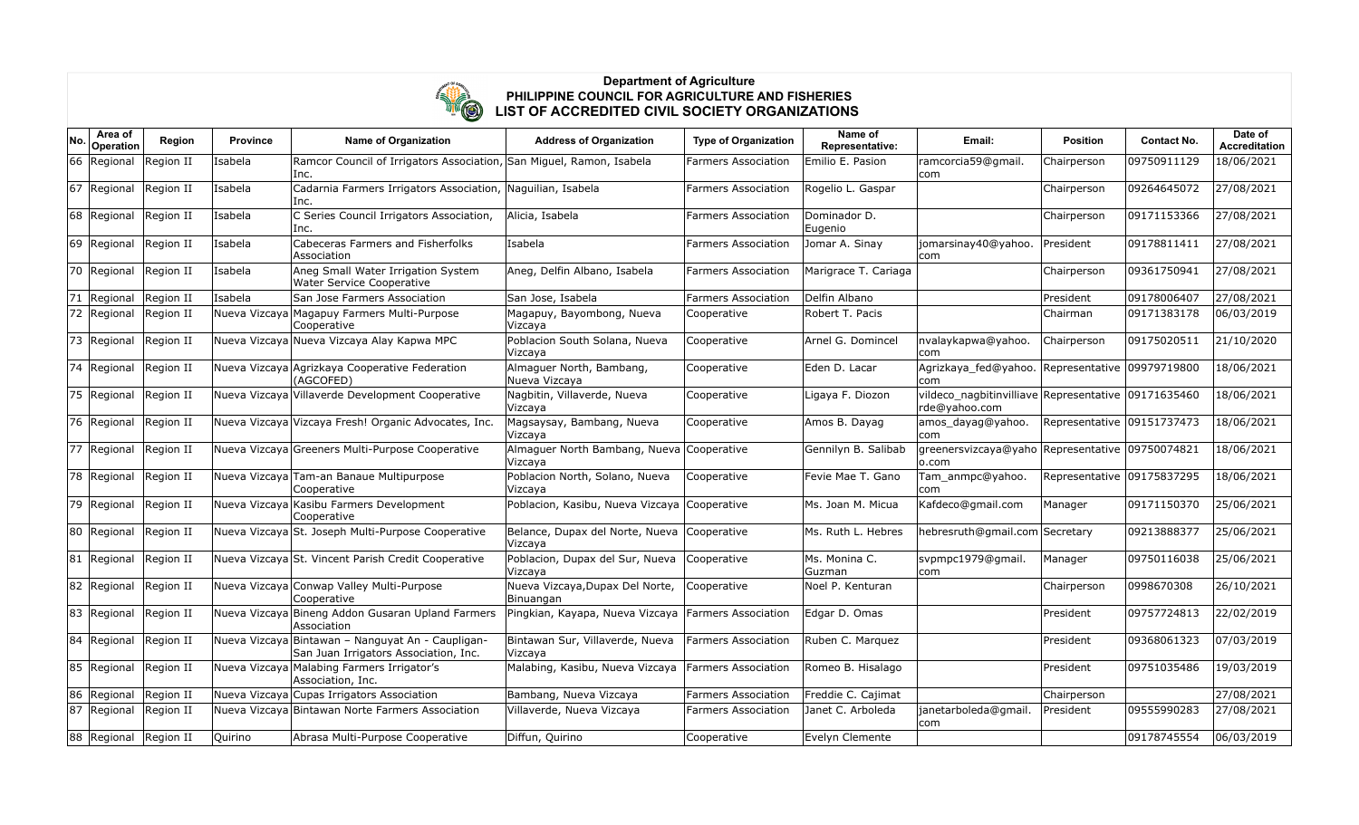

| No. | Area of<br>Operation  | Region    | <b>Province</b> | <b>Name of Organization</b>                                                                | <b>Address of Organization</b>                       | <b>Type of Organization</b> | Name of<br>Representative: | Email:                                                               | <b>Position</b>            | <b>Contact No.</b> | Date of<br><b>Accreditation</b> |
|-----|-----------------------|-----------|-----------------|--------------------------------------------------------------------------------------------|------------------------------------------------------|-----------------------------|----------------------------|----------------------------------------------------------------------|----------------------------|--------------------|---------------------------------|
| 66  | Regional              | Region II | Isabela         | Ramcor Council of Irrigators Association, San Miguel, Ramon, Isabela<br>Inc.               |                                                      | Farmers Association         | Emilio E. Pasion           | ramcorcia59@gmail.<br>com                                            | Chairperson                | 09750911129        | 18/06/2021                      |
|     | 67 Regional           | Region II | Isabela         | Cadarnia Farmers Irrigators Association, Naguilian, Isabela<br>Inc.                        |                                                      | <b>Farmers Association</b>  | Rogelio L. Gaspar          |                                                                      | Chairperson                | 09264645072        | 27/08/2021                      |
|     | 68 Regional           | Region II | Isabela         | C Series Council Irrigators Association,<br>Inc.                                           | Alicia, Isabela                                      | <b>Farmers Association</b>  | Dominador D.<br>Eugenio    |                                                                      | Chairperson                | 09171153366        | 27/08/2021                      |
| 69  | Regional              | Region II | Isabela         | Cabeceras Farmers and Fisherfolks<br>Association                                           | Isabela                                              | <b>Farmers Association</b>  | Jomar A. Sinay             | jomarsinay40@yahoo.<br>com                                           | President                  | 09178811411        | 27/08/2021                      |
|     | 70 Regional           | Region II | Isabela         | Aneg Small Water Irrigation System<br>Water Service Cooperative                            | Aneg, Delfin Albano, Isabela                         | <b>Farmers Association</b>  | Marigrace T. Cariaga       |                                                                      | Chairperson                | 09361750941        | 27/08/2021                      |
| 71  | Regional              | Region II | Isabela         | San Jose Farmers Association                                                               | San Jose, Isabela                                    | <b>Farmers Association</b>  | Delfin Albano              |                                                                      | President                  | 09178006407        | 27/08/2021                      |
| 72  | Regional              | Region II |                 | Nueva Vizcaya Magapuy Farmers Multi-Purpose<br>Cooperative                                 | Magapuy, Bayombong, Nueva<br>Vizcaya                 | Cooperative                 | Robert T. Pacis            |                                                                      | Chairman                   | 09171383178        | 06/03/2019                      |
|     | 73 Regional           | Region II |                 | Nueva Vizcaya Nueva Vizcaya Alay Kapwa MPC                                                 | Poblacion South Solana, Nueva<br>Vizcaya             | Cooperative                 | Arnel G. Domincel          | nvalaykapwa@yahoo.<br>lcom                                           | Chairperson                | 09175020511        | 21/10/2020                      |
| 74  | Regional              | Region II |                 | Nueva Vizcaya Agrizkaya Cooperative Federation<br>(AGCOFED)                                | Almaguer North, Bambang,<br>Nueva Vizcaya            | Cooperative                 | Eden D. Lacar              | Agrizkaya_fed@yahoo. Representative 09979719800<br>com               |                            |                    | 18/06/2021                      |
|     | 75 Regional           | Region II |                 | Nueva Vizcaya Villaverde Development Cooperative                                           | Nagbitin, Villaverde, Nueva<br>Vizcaya               | Cooperative                 | Ligaya F. Diozon           | vildeco nagbitinvilliave Representative 09171635460<br>rde@yahoo.com |                            |                    | 18/06/2021                      |
|     | 76 Regional           | Region II |                 | Nueva Vizcaya Vizcaya Fresh! Organic Advocates, Inc.                                       | Magsaysay, Bambang, Nueva<br>Vizcaya                 | Cooperative                 | Amos B. Dayag              | amos dayag@yahoo.<br>com                                             | Representative 09151737473 |                    | 18/06/2021                      |
| 77  | Regional              | Region II |                 | Nueva Vizcaya Greeners Multi-Purpose Cooperative                                           | Almaguer North Bambang, Nueva Cooperative<br>Vizcaya |                             | Gennilyn B. Salibab        | greenersvizcaya@yaho Representative 09750074821<br> o.com            |                            |                    | 18/06/2021                      |
| 78  | Regional              | Region II |                 | Nueva Vizcaya Tam-an Banaue Multipurpose<br>Cooperative                                    | Poblacion North, Solano, Nueva<br>Vizcaya            | Cooperative                 | Fevie Mae T. Gano          | Tam anmpc@yahoo.<br>com                                              | Representative 09175837295 |                    | 18/06/2021                      |
|     | 79 Regional           | Region II |                 | Nueva Vizcaya Kasibu Farmers Development<br>Cooperative                                    | Poblacion, Kasibu, Nueva Vizcaya Cooperative         |                             | Ms. Joan M. Micua          | Kafdeco@gmail.com                                                    | Manager                    | 09171150370        | 25/06/2021                      |
|     | 80 Regional           | Region II |                 | Nueva Vizcaya St. Joseph Multi-Purpose Cooperative                                         | Belance, Dupax del Norte, Nueva<br>Vizcaya           | Cooperative                 | Ms. Ruth L. Hebres         | hebresruth@gmail.com Secretary                                       |                            | 09213888377        | 25/06/2021                      |
| 81  | Regional              | Region II |                 | Nueva Vizcaya St. Vincent Parish Credit Cooperative                                        | Poblacion, Dupax del Sur, Nueva<br>Vizcaya           | Cooperative                 | Ms. Monina C.<br>Guzman    | svpmpc1979@gmail.<br>com                                             | Manager                    | 09750116038        | 25/06/2021                      |
|     | 82 Regional           | Region II |                 | Nueva Vizcaya Conwap Valley Multi-Purpose<br>Cooperative                                   | Nueva Vizcaya, Dupax Del Norte,<br>Binuangan         | Cooperative                 | Noel P. Kenturan           |                                                                      | Chairperson                | 0998670308         | 26/10/2021                      |
|     | 83 Regional           | Region II |                 | Nueva Vizcaya Bineng Addon Gusaran Upland Farmers<br>Association                           | Pingkian, Kayapa, Nueva Vizcaya                      | Farmers Association         | Edgar D. Omas              |                                                                      | President                  | 09757724813        | 22/02/2019                      |
|     | 84 Regional           | Region II |                 | Nueva Vizcaya Bintawan - Nanguyat An - Caupligan-<br>San Juan Irrigators Association, Inc. | Bintawan Sur, Villaverde, Nueva<br>Vizcaya           | <b>Farmers Association</b>  | Ruben C. Marguez           |                                                                      | President                  | 09368061323        | 07/03/2019                      |
| 85  | Regional              | Region II |                 | Nueva Vizcaya Malabing Farmers Irrigator's<br>Association, Inc.                            | Malabing, Kasibu, Nueva Vizcaya                      | Farmers Association         | Romeo B. Hisalago          |                                                                      | President                  | 09751035486        | 19/03/2019                      |
| 86  | Regional              | Region II |                 | Nueva Vizcaya Cupas Irrigators Association                                                 | Bambang, Nueva Vizcaya                               | Farmers Association         | Freddie C. Cajimat         |                                                                      | Chairperson                |                    | 27/08/2021                      |
| 87  | Regional              | Region II |                 | Nueva Vizcaya Bintawan Norte Farmers Association                                           | Villaverde, Nueva Vizcaya                            | <b>Farmers Association</b>  | Janet C. Arboleda          | ianetarboleda@gmail.<br> com                                         | President                  | 09555990283        | 27/08/2021                      |
|     | 88 Regional Region II |           | Quirino         | Abrasa Multi-Purpose Cooperative                                                           | Diffun, Quirino                                      | Cooperative                 | Evelyn Clemente            |                                                                      |                            | 09178745554        | 06/03/2019                      |